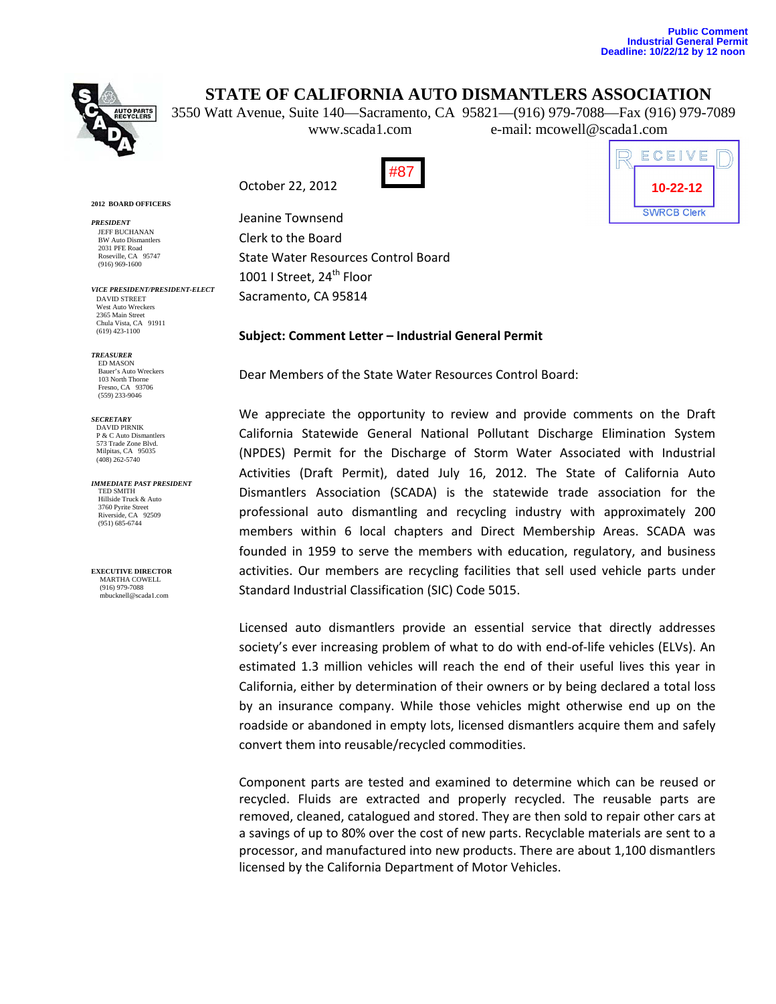# **STATE OF CALIFORNIA AUTO DISMANTLERS ASSOCIATION**

3550 Watt Avenue, Suite 140—Sacramento, CA 95821—(916) 979-7088—Fax (916) 979-7089 www.scada1.com e-mail: mcowell@scada1.com

October 22, 2012



ECEIVE **10-22-12 SWRCB Clerk** 

#### **2012 BOARD OFFICERS**

*PRESIDENT*  JEFF BUCHANAN BW Auto Dismantlers 2031 PFE Road Roseville, CA 95747 (916) 969-1600

*VICE PRESIDENT/PRESIDENT-ELECT*  DAVID STREET West Auto Wreckers 2365 Main Street Chula Vista, CA 91911 (619) 423-1100

*TREASURER*  ED MASON<br>Bauer's Auto Wreckers Bauer's Auto Wreckers 103 North Thorne Fresno, CA 93706 (559) 233-9046

*SECRETARY*  DAVID PIRNIK P & C Auto Dismantlers 573 Trade Zone Blvd. Milpitas, CA 95035 (408) 262-5740

*IMMEDIATE PAST PRESIDENT*  TED SMITH Hillside Truck & Auto 3760 Pyrite Street Riverside, CA 92509 (951) 685-6744

**EXECUTIVE DIRECTOR** MARTHA COWELL (916) 979-7088 mbucknell@scada1.com

Jeanine Townsend Clerk to the Board State Water Resources Control Board 1001 | Street, 24<sup>th</sup> Floor Sacramento, CA 95814

### **Subject: Comment Letter – Industrial General Permit**

Dear Members of the State Water Resources Control Board:

We appreciate the opportunity to review and provide comments on the Draft California Statewide General National Pollutant Discharge Elimination System (NPDES) Permit for the Discharge of Storm Water Associated with Industrial Activities (Draft Permit), dated July 16, 2012. The State of California Auto Dismantlers Association (SCADA) is the statewide trade association for the professional auto dismantling and recycling industry with approximately 200 members within 6 local chapters and Direct Membership Areas. SCADA was founded in 1959 to serve the members with education, regulatory, and business activities. Our members are recycling facilities that sell used vehicle parts under Standard Industrial Classification (SIC) Code 5015.

Licensed auto dismantlers provide an essential service that directly addresses society's ever increasing problem of what to do with end-of-life vehicles (ELVs). An estimated 1.3 million vehicles will reach the end of their useful lives this year in California, either by determination of their owners or by being declared a total loss by an insurance company. While those vehicles might otherwise end up on the roadside or abandoned in empty lots, licensed dismantlers acquire them and safely convert them into reusable/recycled commodities.

Component parts are tested and examined to determine which can be reused or recycled. Fluids are extracted and properly recycled. The reusable parts are removed, cleaned, catalogued and stored. They are then sold to repair other cars at a savings of up to 80% over the cost of new parts. Recyclable materials are sent to a processor, and manufactured into new products. There are about 1,100 dismantlers licensed by the California Department of Motor Vehicles.

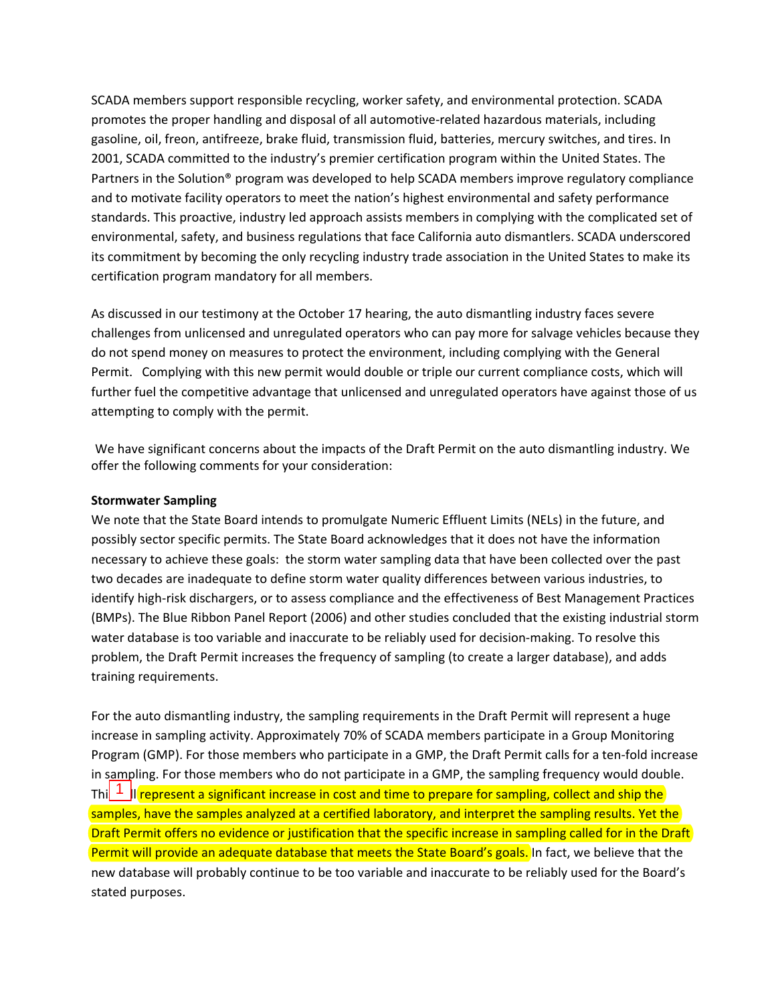SCADA members support responsible recycling, worker safety, and environmental protection. SCADA promotes the proper handling and disposal of all automotive‐related hazardous materials, including gasoline, oil, freon, antifreeze, brake fluid, transmission fluid, batteries, mercury switches, and tires. In 2001, SCADA committed to the industry's premier certification program within the United States. The Partners in the Solution® program was developed to help SCADA members improve regulatory compliance and to motivate facility operators to meet the nation's highest environmental and safety performance standards. This proactive, industry led approach assists members in complying with the complicated set of environmental, safety, and business regulations that face California auto dismantlers. SCADA underscored its commitment by becoming the only recycling industry trade association in the United States to make its certification program mandatory for all members.

As discussed in our testimony at the October 17 hearing, the auto dismantling industry faces severe challenges from unlicensed and unregulated operators who can pay more for salvage vehicles because they do not spend money on measures to protect the environment, including complying with the General Permit. Complying with this new permit would double or triple our current compliance costs, which will further fuel the competitive advantage that unlicensed and unregulated operators have against those of us attempting to comply with the permit.

We have significant concerns about the impacts of the Draft Permit on the auto dismantling industry. We offer the following comments for your consideration:

## **Stormwater Sampling**

We note that the State Board intends to promulgate Numeric Effluent Limits (NELs) in the future, and possibly sector specific permits. The State Board acknowledges that it does not have the information necessary to achieve these goals: the storm water sampling data that have been collected over the past two decades are inadequate to define storm water quality differences between various industries, to identify high-risk dischargers, or to assess compliance and the effectiveness of Best Management Practices (BMPs). The Blue Ribbon Panel Report (2006) and other studies concluded that the existing industrial storm water database is too variable and inaccurate to be reliably used for decision-making. To resolve this problem, the Draft Permit increases the frequency of sampling (to create a larger database), and adds training requirements.

For the auto dismantling industry, the sampling requirements in the Draft Permit will represent a huge increase in sampling activity. Approximately 70% of SCADA members participate in a Group Monitoring Program (GMP). For those members who participate in a GMP, the Draft Permit calls for a ten‐fold increase in sampling. For those members who do not participate in a GMP, the sampling frequency would double. Thi $\left| \frac{1}{n} \right|$  represent a significant increase in cost and time to prepare for sampling, collect and ship the samples, have the samples analyzed at a certified laboratory, and interpret the sampling results. Yet the Draft Permit offers no evidence or justification that the specific increase in sampling called for in the Draft Permit will provide an adequate database that meets the State Board's goals. In fact, we believe that the new database will probably continue to be too variable and inaccurate to be reliably used for the Board's stated purposes.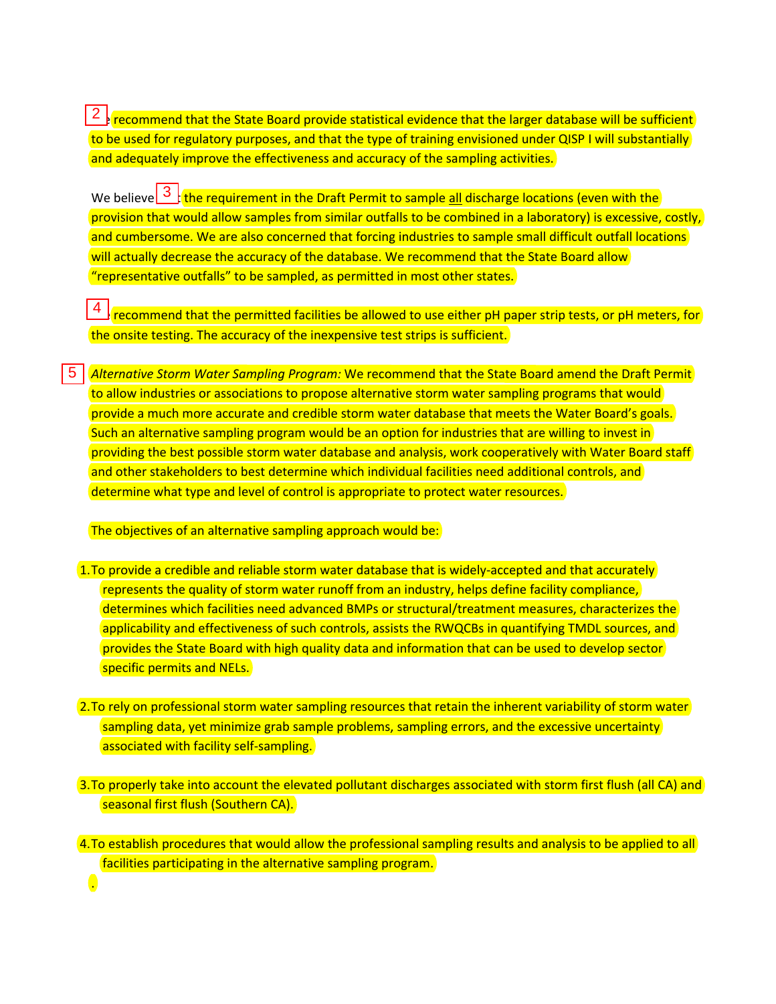$\frac{2}{3}$  recommend that the State Board provide statistical evidence that the larger database will be sufficient to be used for regulatory purposes, and that the type of training envisioned under QISP I will substantially and adequately improve the effectiveness and accuracy of the sampling activities.

We believe  $\frac{3}{1}$  the requirement in the Draft Permit to sample all discharge locations (even with the provision that would allow samples from similar outfalls to be combined in a laboratory) is excessive, costly, and cumbersome. We are also concerned that forcing industries to sample small difficult outfall locations will actually decrease the accuracy of the database. We recommend that the State Board allow "representative outfalls" to be sampled, as permitted in most other states. 2 3 4 5

4 recommend that the permitted facilities be allowed to use either pH paper strip tests, or pH meters, for the onsite testing. The accuracy of the inexpensive test strips is sufficient.

*Alternative Storm Water Sampling Program:* We recommend that the State Board amend the Draft Permit to allow industries or associations to propose alternative storm water sampling programs that would provide a much more accurate and credible storm water database that meets the Water Board's goals. Such an alternative sampling program would be an option for industries that are willing to invest in providing the best possible storm water database and analysis, work cooperatively with Water Board staff and other stakeholders to best determine which individual facilities need additional controls, and determine what type and level of control is appropriate to protect water resources.

The objectives of an alternative sampling approach would be:

.

- 1. To provide a credible and reliable storm water database that is widely-accepted and that accurately represents the quality of storm water runoff from an industry, helps define facility compliance, determines which facilities need advanced BMPs or structural/treatment measures, characterizes the applicability and effectiveness of such controls, assists the RWQCBs in quantifying TMDL sources, and provides the State Board with high quality data and information that can be used to develop sector specific permits and NELs.
- 2.To rely on professional storm water sampling resources that retain the inherent variability of storm water sampling data, yet minimize grab sample problems, sampling errors, and the excessive uncertainty associated with facility self-sampling.
- 3.To properly take into account the elevated pollutant discharges associated with storm first flush (all CA) and seasonal first flush (Southern CA).

<sup>4.</sup>To establish procedures that would allow the professional sampling results and analysis to be applied to all facilities participating in the alternative sampling program.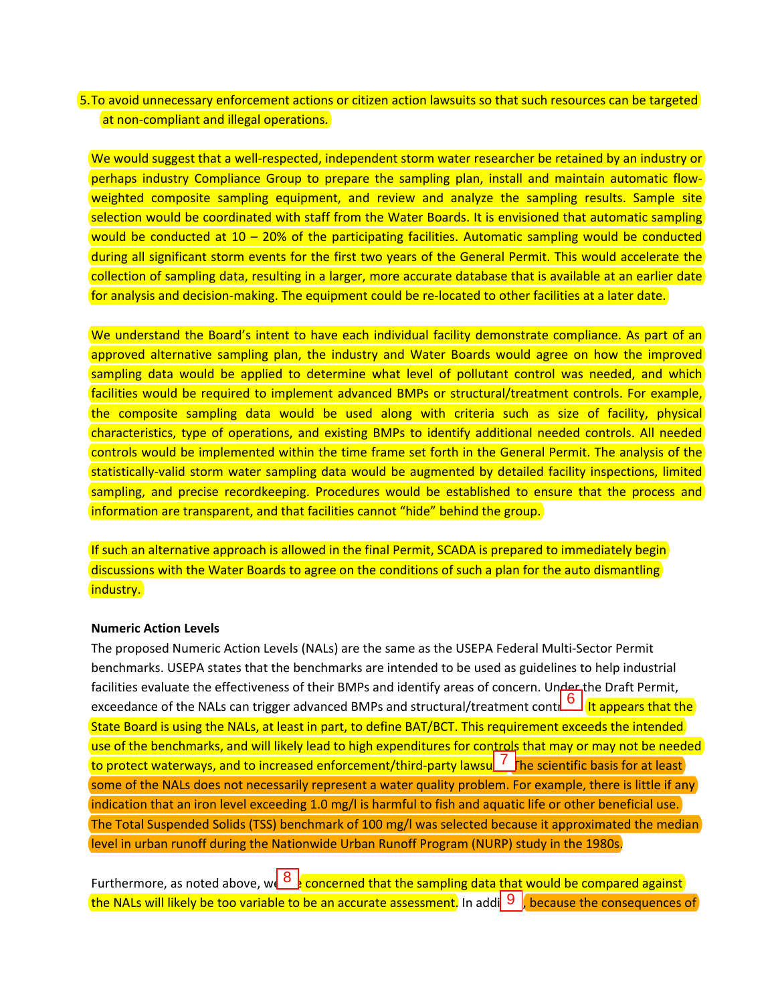## 5.To avoid unnecessary enforcement actions or citizen action lawsuits so that such resources can be targeted at non-compliant and illegal operations.

We would suggest that a well-respected, independent storm water researcher be retained by an industry or perhaps industry Compliance Group to prepare the sampling plan, install and maintain automatic flow‐ weighted composite sampling equipment, and review and analyze the sampling results. Sample site selection would be coordinated with staff from the Water Boards. It is envisioned that automatic sampling would be conducted at 10 – 20% of the participating facilities. Automatic sampling would be conducted during all significant storm events for the first two years of the General Permit. This would accelerate the collection of sampling data, resulting in a larger, more accurate database that is available at an earlier date for analysis and decision-making. The equipment could be re-located to other facilities at a later date.

We understand the Board's intent to have each individual facility demonstrate compliance. As part of an approved alternative sampling plan, the industry and Water Boards would agree on how the improved sampling data would be applied to determine what level of pollutant control was needed, and which facilities would be required to implement advanced BMPs or structural/treatment controls. For example, the composite sampling data would be used along with criteria such as size of facility, physical characteristics, type of operations, and existing BMPs to identify additional needed controls. All needed controls would be implemented within the time frame set forth in the General Permit. The analysis of the statistically-valid storm water sampling data would be augmented by detailed facility inspections, limited sampling, and precise recordkeeping. Procedures would be established to ensure that the process and information are transparent, and that facilities cannot "hide" behind the group.

If such an alternative approach is allowed in the final Permit, SCADA is prepared to immediately begin discussions with the Water Boards to agree on the conditions of such a plan for the auto dismantling industry.

### **Numeric Action Levels**

The proposed Numeric Action Levels (NALs) are the same as the USEPA Federal Multi‐Sector Permit benchmarks. USEPA states that the benchmarks are intended to be used as guidelines to help industrial facilities evaluate the effectiveness of their BMPs and identify areas of concern. Under the Draft Permit, exceedance of the NALs can trigger advanced BMPs and structural/treatment controls. This repears that the State Board is using the NALs, at least in part, to define BAT/BCT. This requirement exceeds the intended use of th State Board is using the NALs, at least in part, to define BAT/BCT. This requirement exceeds the intended use of the benchmarks, and will likely lead to high expenditures for controls that may or may not be needed to protect waterways, and to increased enforcement/third-party lawsu $\frac{1}{\sqrt{2}}$  he scientific basis for at least some of the NALs does not necessarily represent a water quality problem. For example, there is little if any indication that an iron level exceeding 1.0 mg/l is harmful to fish and aquatic life or other beneficial use. The Total Suspended Solids (TSS) benchmark of 100 mg/l was selected because it approximated the median level in urban runoff during the Nationwide Urban Runoff Program (NURP) study in the 1980s.

Furthermore, as noted above, we  $\frac{8}{5}$  concerned that the sampling data that would be compared against the NALs will likely be too variable to be an accurate assessment. In addi  $\overline{9}$  , because the consequences of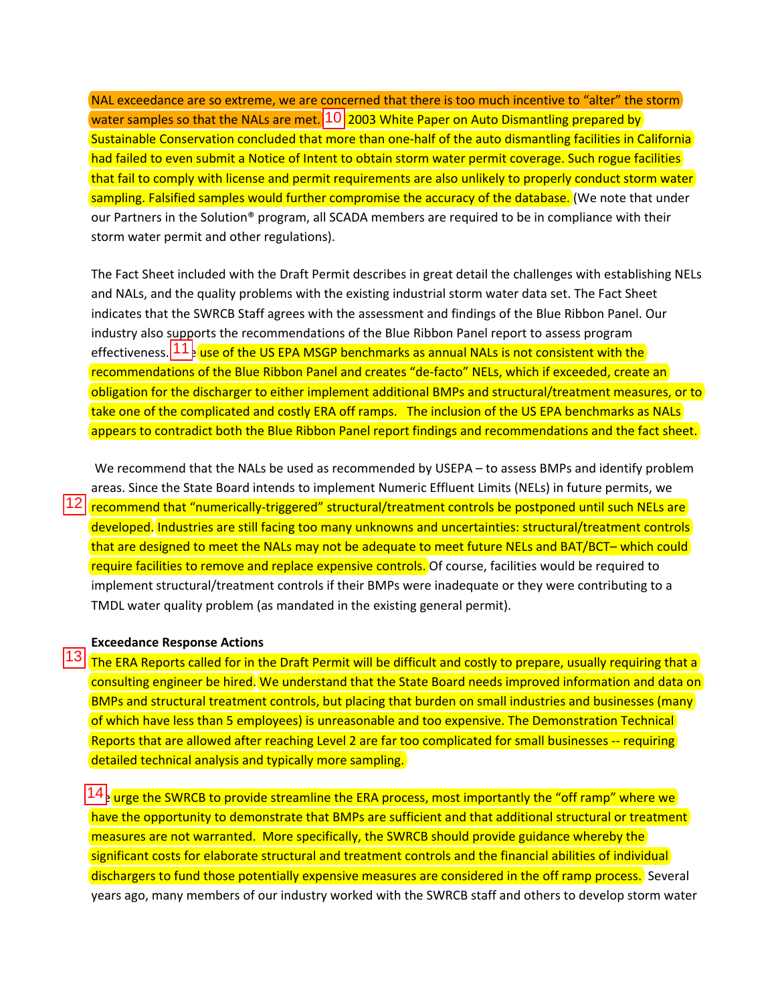NAL exceedance are so extreme, we are concerned that there is too much incentive to "alter" the storm water samples so that the NALs are met.  $10$  2003 White Paper on Auto Dismantling prepared by Sustainable Conservation concluded that more than one-half of the auto dismantling facilities in California had failed to even submit a Notice of Intent to obtain storm water permit coverage. Such rogue facilities that fail to comply with license and permit requirements are also unlikely to properly conduct storm water sampling. Falsified samples would further compromise the accuracy of the database. (We note that under our Partners in the Solution® program, all SCADA members are required to be in compliance with their storm water permit and other regulations).

The Fact Sheet included with the Draft Permit describes in great detail the challenges with establishing NELs and NALs, and the quality problems with the existing industrial storm water data set. The Fact Sheet indicates that the SWRCB Staff agrees with the assessment and findings of the Blue Ribbon Panel. Our industry also supports the recommendations of the Blue Ribbon Panel report to assess program effectiveness. <mark>11 e use of the US EPA MSGP benchmarks as annual NALs is not consistent with the</mark> recommendations of the Blue Ribbon Panel and creates "de-facto" NELs, which if exceeded, create an obligation for the discharger to either implement additional BMPs and structural/treatment measures, or to take one of the complicated and costly ERA off ramps. The inclusion of the US EPA benchmarks as NALs appears to contradict both the Blue Ribbon Panel report findings and recommendations and the fact sheet.

We recommend that the NALs be used as recommended by USEPA – to assess BMPs and identify problem areas. Since the State Board intends to implement Numeric Effluent Limits (NELs) in future permits, we 12 recommend that "numerically-triggered" structural/treatment controls be postponed until such NELs are developed. Industries are still facing too many unknowns and uncertainties: structural/treatment controls that are designed to meet the NALs may not be adequate to meet future NELs and BAT/BCT– which could require facilities to remove and replace expensive controls. Of course, facilities would be required to implement structural/treatment controls if their BMPs were inadequate or they were contributing to a TMDL water quality problem (as mandated in the existing general permit).  $\frac{12}{13}$ 

#### **Exceedance Response Actions**

 $\boxed{13}$  The ERA Reports called for in the Draft Permit will be difficult and costly to prepare, usually requiring that a consulting engineer be hired. We understand that the State Board needs improved information and data on BMPs and structural treatment controls, but placing that burden on small industries and businesses (many of which have less than 5 employees) is unreasonable and too expensive. The Demonstration Technical Reports that are allowed after reaching Level 2 are far too complicated for small businesses -- requiring detailed technical analysis and typically more sampling.

 $14$  urge the SWRCB to provide streamline the ERA process, most importantly the "off ramp" where we have the opportunity to demonstrate that BMPs are sufficient and that additional structural or treatment measures are not warranted. More specifically, the SWRCB should provide guidance whereby the significant costs for elaborate structural and treatment controls and the financial abilities of individual dischargers to fund those potentially expensive measures are considered in the off ramp process. Several years ago, many members of our industry worked with the SWRCB staff and others to develop storm water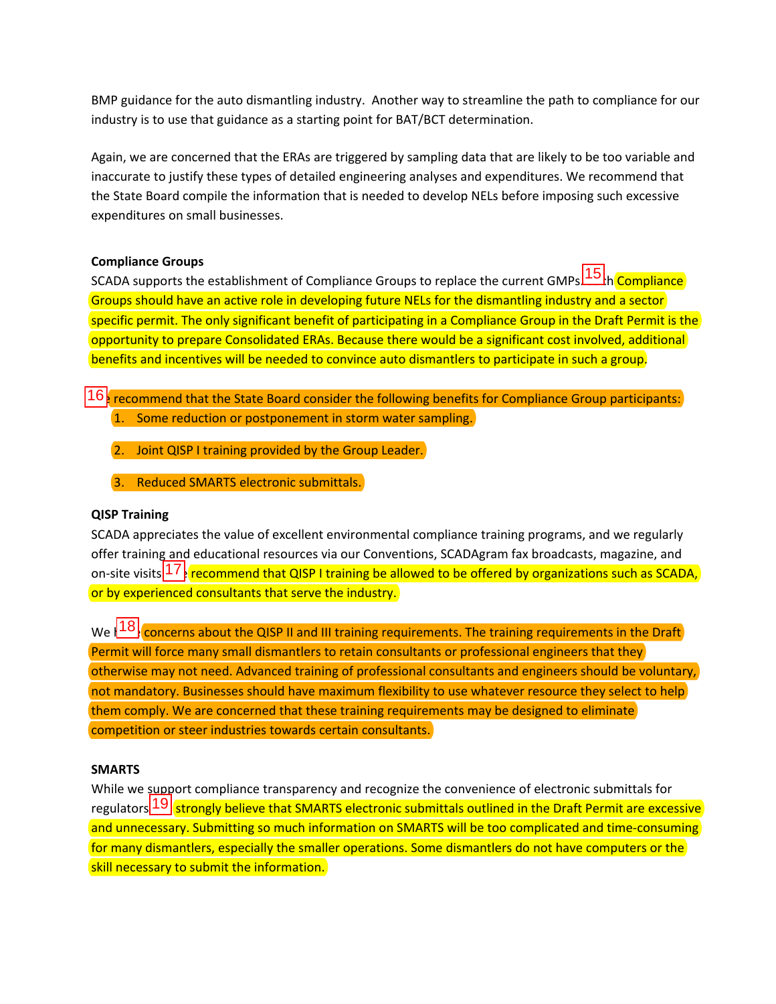BMP guidance for the auto dismantling industry. Another way to streamline the path to compliance for our industry is to use that guidance as a starting point for BAT/BCT determination.

Again, we are concerned that the ERAs are triggered by sampling data that are likely to be too variable and inaccurate to justify these types of detailed engineering analyses and expenditures. We recommend that the State Board compile the information that is needed to develop NELs before imposing such excessive expenditures on small businesses.

## **Compliance Groups**

SCADA supports the establishment of Compliance Groups to replace the current GMPs 15 h Compliance Groups should have an active role in developing future NELs for the dismantling industry and a sector specific permit. The only significant benefit of participating in a Compliance Group in the Draft Permit is the opportunity to prepare Consolidated ERAs. Because there would be a significant cost involved, additional benefits and incentives will be needed to convince auto dismantlers to participate in such a group.

- 16 recommend that the State Board consider the following benefits for Compliance Group participants: 1. Some reduction or postponement in storm water sampling.
	- 2. Joint QISP I training provided by the Group Leader.
	- 3. Reduced SMARTS electronic submittals.

## **QISP Training**

SCADA appreciates the value of excellent environmental compliance training programs, and we regularly offer training and educational resources via our Conventions, SCADAgram fax broadcasts, magazine, and on-site visits 17. recommend that QISP I training be allowed to be offered by organizations such as SCADA, or by experienced consultants that serve the industry.

We  $\sqrt{\frac{18}{\text{concerns}}}$  about the QISP II and III training requirements. The training requirements in the Draft Permit will force many small dismantlers to retain consultants or professional engineers that they otherwise may not need. Advanced training of professional consultants and engineers should be voluntary, not mandatory. Businesses should have maximum flexibility to use whatever resource they select to help them comply. We are concerned that these training requirements may be designed to eliminate competition or steer industries towards certain consultants.

## **SMARTS**

While we support compliance transparency and recognize the convenience of electronic submittals for regulators 19 strongly believe that SMARTS electronic submittals outlined in the Draft Permit are excessive and unnecessary. Submitting so much information on SMARTS will be too complicated and time-consuming for many dismantlers, especially the smaller operations. Some dismantlers do not have computers or the skill necessary to submit the information.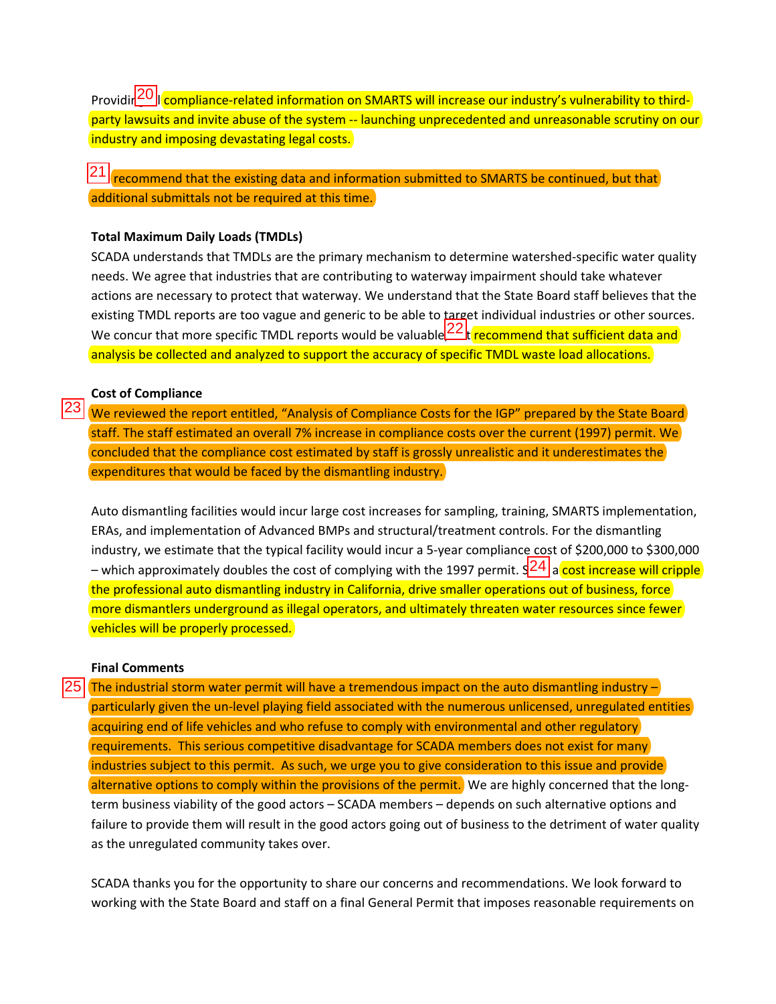Providir<sup>20</sup>ll compliance-related information on SMARTS will increase our industry's vulnerability to thirdparty lawsuits and invite abuse of the system -- launching unprecedented and unreasonable scrutiny on our industry and imposing devastating legal costs.

 $21$  recommend that the existing data and information submitted to SMARTS be continued, but that additional submittals not be required at this time.

### **Total Maximum Daily Loads (TMDLs)**

SCADA understands that TMDLs are the primary mechanism to determine watershed‐specific water quality needs. We agree that industries that are contributing to waterway impairment should take whatever actions are necessary to protect that waterway. We understand that the State Board staff believes that the existing TMDL reports are too vague and generic to be able to target individual industries or other sources. We concur that more specific TMDL reports would be valuable  $22k$  recommend that sufficient data and analysis be collected and analyzed to support the accuracy of specific TMDL waste load allocations.

#### **Cost of Compliance**

23

We reviewed the report entitled, "Analysis of Compliance Costs for the IGP" prepared by the State Board staff. The staff estimated an overall 7% increase in compliance costs over the current (1997) permit. We concluded that the compliance cost estimated by staff is grossly unrealistic and it underestimates the expenditures that would be faced by the dismantling industry.

Auto dismantling facilities would incur large cost increases for sampling, training, SMARTS implementation, ERAs, and implementation of Advanced BMPs and structural/treatment controls. For the dismantling industry, we estimate that the typical facility would incur a 5‐year compliance cost of \$200,000 to \$300,000 – which approximately doubles the cost of complying with the 1997 permit.  $\frac{1}{24}$  a cost increase will cripple the professional auto dismantling industry in California, drive smaller operations out of business, force more dismantlers underground as illegal operators, and ultimately threaten water resources since fewer vehicles will be properly processed.

## **Final Comments**

 $25$  The industrial storm water permit will have a tremendous impact on the auto dismantling industry  $$ particularly given the un-level playing field associated with the numerous unlicensed, unregulated entities acquiring end of life vehicles and who refuse to comply with environmental and other regulatory requirements. This serious competitive disadvantage for SCADA members does not exist for many industries subject to this permit. As such, we urge you to give consideration to this issue and provide alternative options to comply within the provisions of the permit. We are highly concerned that the longterm business viability of the good actors – SCADA members – depends on such alternative options and failure to provide them will result in the good actors going out of business to the detriment of water quality as the unregulated community takes over.

SCADA thanks you for the opportunity to share our concerns and recommendations. We look forward to working with the State Board and staff on a final General Permit that imposes reasonable requirements on